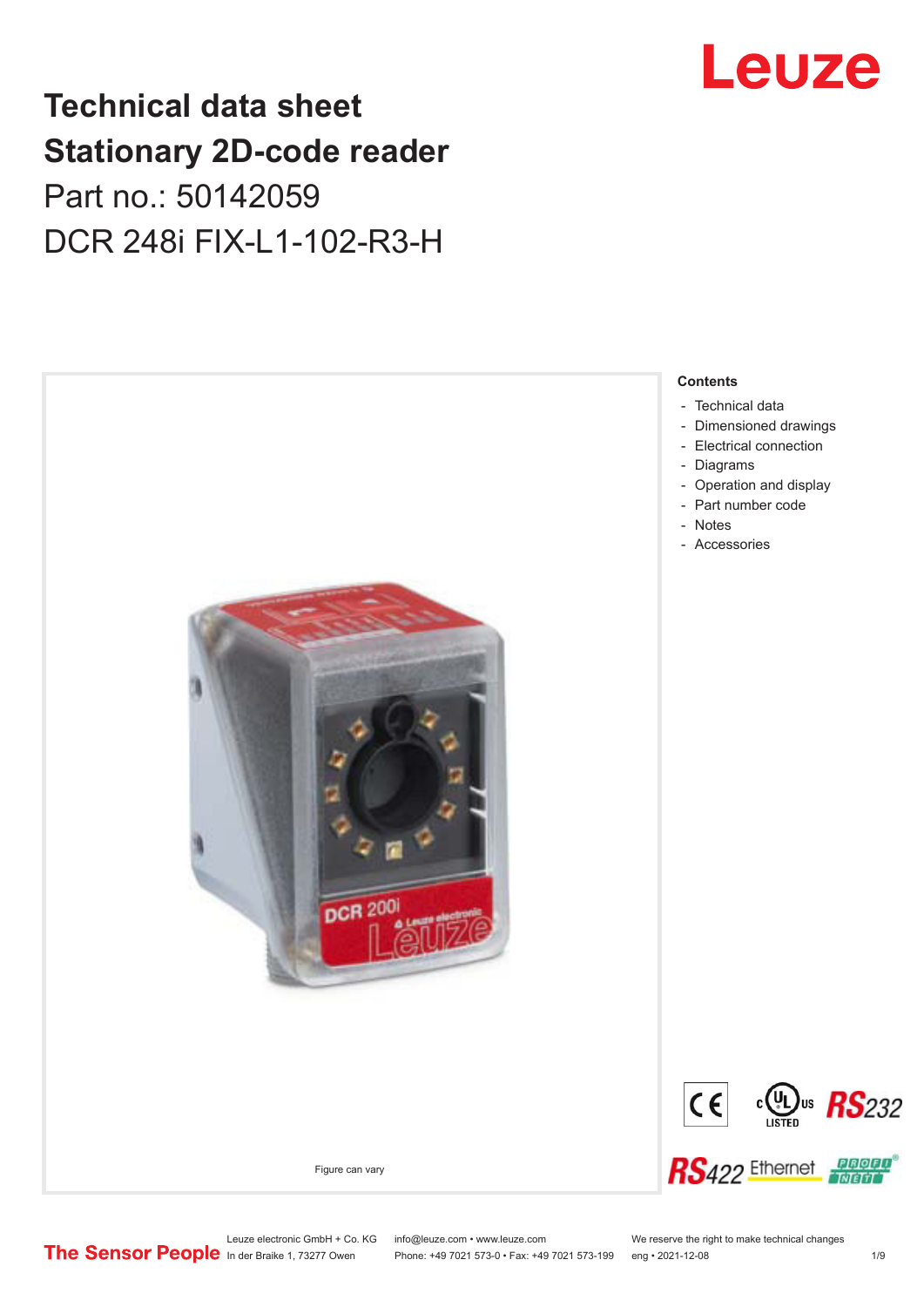# **Technical data sheet Stationary 2D-code reader** Part no.: 50142059 DCR 248i FIX-L1-102-R3-H



# Leuze

Leuze electronic GmbH + Co. KG info@leuze.com • www.leuze.com We reserve the right to make technical changes<br>
The Sensor People in der Braike 1, 73277 Owen Phone: +49 7021 573-0 • Fax: +49 7021 573-199 eng • 2021-12-08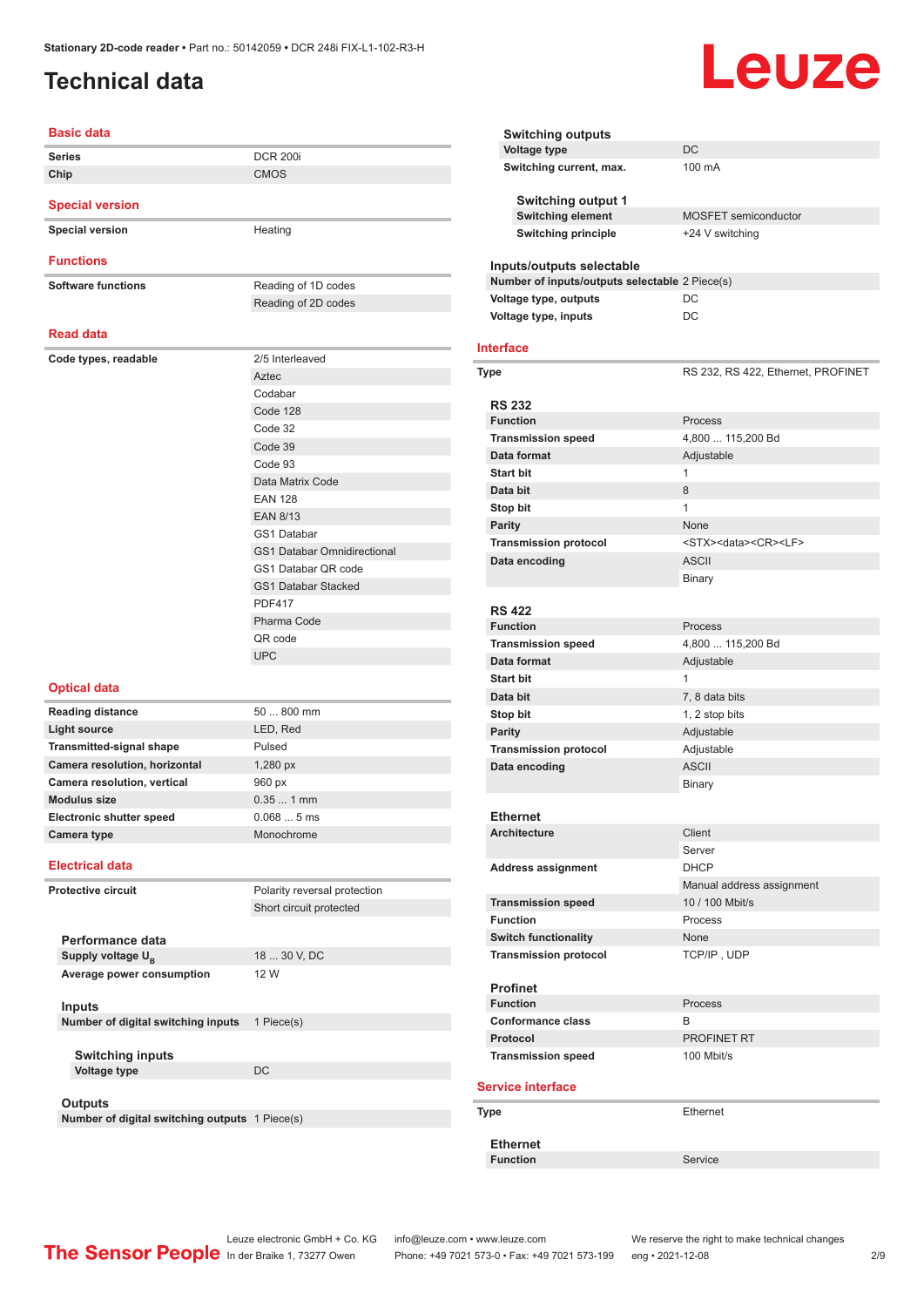### <span id="page-1-0"></span>**Technical data**

# **Leuze**

| <b>Basic data</b>                                                |                                    |
|------------------------------------------------------------------|------------------------------------|
| <b>Series</b>                                                    | <b>DCR 200i</b>                    |
| Chip                                                             | <b>CMOS</b>                        |
| <b>Special version</b>                                           |                                    |
|                                                                  |                                    |
| <b>Special version</b>                                           | Heating                            |
| <b>Functions</b>                                                 |                                    |
| <b>Software functions</b>                                        | Reading of 1D codes                |
|                                                                  | Reading of 2D codes                |
| <b>Read data</b>                                                 |                                    |
| Code types, readable                                             | 2/5 Interleaved                    |
|                                                                  | Aztec                              |
|                                                                  | Codabar                            |
|                                                                  | Code 128                           |
|                                                                  | Code 32                            |
|                                                                  | Code 39                            |
|                                                                  | Code 93                            |
|                                                                  | Data Matrix Code                   |
|                                                                  | <b>EAN 128</b>                     |
|                                                                  | <b>EAN 8/13</b>                    |
|                                                                  | <b>GS1 Databar</b>                 |
|                                                                  | <b>GS1 Databar Omnidirectional</b> |
|                                                                  | GS1 Databar QR code                |
|                                                                  | <b>GS1 Databar Stacked</b>         |
|                                                                  | <b>PDF417</b>                      |
|                                                                  | Pharma Code                        |
|                                                                  | QR code                            |
|                                                                  | <b>UPC</b>                         |
| <b>Optical data</b>                                              |                                    |
| <b>Reading distance</b>                                          | 50  800 mm                         |
| <b>Light source</b>                                              | LED, Red                           |
| <b>Transmitted-signal shape</b>                                  | Pulsed                             |
| Camera resolution, horizontal                                    | 1,280 px                           |
| Camera resolution, vertical                                      | 960 px                             |
| <b>Modulus size</b>                                              | $0.351$ mm                         |
| Electronic shutter speed                                         | 0.0685ms                           |
| Camera type                                                      | Monochrome                         |
| <b>Electrical data</b>                                           |                                    |
|                                                                  |                                    |
| <b>Protective circuit</b>                                        | Polarity reversal protection       |
|                                                                  | Short circuit protected            |
| Performance data                                                 |                                    |
| Supply voltage U <sub>R</sub>                                    | 18  30 V, DC                       |
| Average power consumption                                        | 12 W                               |
|                                                                  |                                    |
| <b>Inputs</b>                                                    |                                    |
| Number of digital switching inputs                               | 1 Piece(s)                         |
|                                                                  |                                    |
| <b>Switching inputs</b>                                          |                                    |
| <b>Voltage type</b>                                              | DC                                 |
|                                                                  |                                    |
| <b>Outputs</b><br>Number of digital switching outputs 1 Piece(s) |                                    |
|                                                                  |                                    |

| <b>Switching outputs</b>                       |                                            |
|------------------------------------------------|--------------------------------------------|
| <b>Voltage type</b>                            | DC                                         |
| Switching current, max.                        | 100 mA                                     |
| Switching output 1                             |                                            |
| <b>Switching element</b>                       | <b>MOSFET</b> semiconductor                |
| <b>Switching principle</b>                     | +24 V switching                            |
| Inputs/outputs selectable                      |                                            |
| Number of inputs/outputs selectable 2 Piece(s) |                                            |
| Voltage type, outputs                          | DC                                         |
| Voltage type, inputs                           | DC                                         |
| Interface                                      |                                            |
| Type                                           | RS 232, RS 422, Ethernet, PROFINET         |
| <b>RS 232</b>                                  |                                            |
| <b>Function</b>                                | Process                                    |
| <b>Transmission speed</b>                      | 4,800  115,200 Bd                          |
| Data format                                    | Adjustable                                 |
| <b>Start bit</b>                               | 1                                          |
| Data bit                                       | 8                                          |
| Stop bit                                       | 1                                          |
| <b>Parity</b>                                  | None                                       |
|                                                |                                            |
| <b>Transmission protocol</b>                   | <stx><data><cr><lf></lf></cr></data></stx> |
| Data encoding                                  | <b>ASCII</b>                               |
|                                                | Binary                                     |
|                                                |                                            |
| <b>RS 422</b>                                  |                                            |
| <b>Function</b>                                | Process                                    |
| <b>Transmission speed</b>                      | 4,800  115,200 Bd                          |
| Data format                                    | Adjustable                                 |
| <b>Start bit</b>                               | 1                                          |
| Data bit                                       | 7, 8 data bits                             |
| Stop bit                                       | 1, 2 stop bits                             |
| Parity                                         | Adjustable                                 |
| <b>Transmission protocol</b>                   | Adjustable                                 |
| Data encoding                                  | <b>ASCII</b>                               |
|                                                | <b>Binary</b>                              |
|                                                |                                            |
| Ethernet                                       |                                            |
| <b>Architecture</b>                            | Client                                     |
|                                                | Server                                     |
| <b>Address assignment</b>                      | <b>DHCP</b>                                |
|                                                | Manual address assignment                  |
| <b>Transmission speed</b>                      | 10 / 100 Mbit/s                            |
|                                                |                                            |
| <b>Function</b>                                | Process                                    |
| <b>Switch functionality</b>                    | None                                       |
| <b>Transmission protocol</b>                   | TCP/IP, UDP                                |
|                                                |                                            |
| <b>Profinet</b><br><b>Function</b>             |                                            |
|                                                | Process                                    |
| Conformance class                              | В                                          |
| Protocol                                       | PROFINET RT                                |
| <b>Transmission speed</b>                      | 100 Mbit/s                                 |
| <b>Service interface</b>                       |                                            |
| Type                                           | Ethernet                                   |
| <b>Ethernet</b>                                |                                            |
| <b>Function</b>                                | Service                                    |
|                                                |                                            |

Leuze electronic GmbH + Co. KG info@leuze.com • www.leuze.com We reserve the right to make technical changes

In der Braike 1, 73277 Owen Phone: +49 7021 573-0 • Fax: +49 7021 573-199 eng • 2021-12-08 2 /9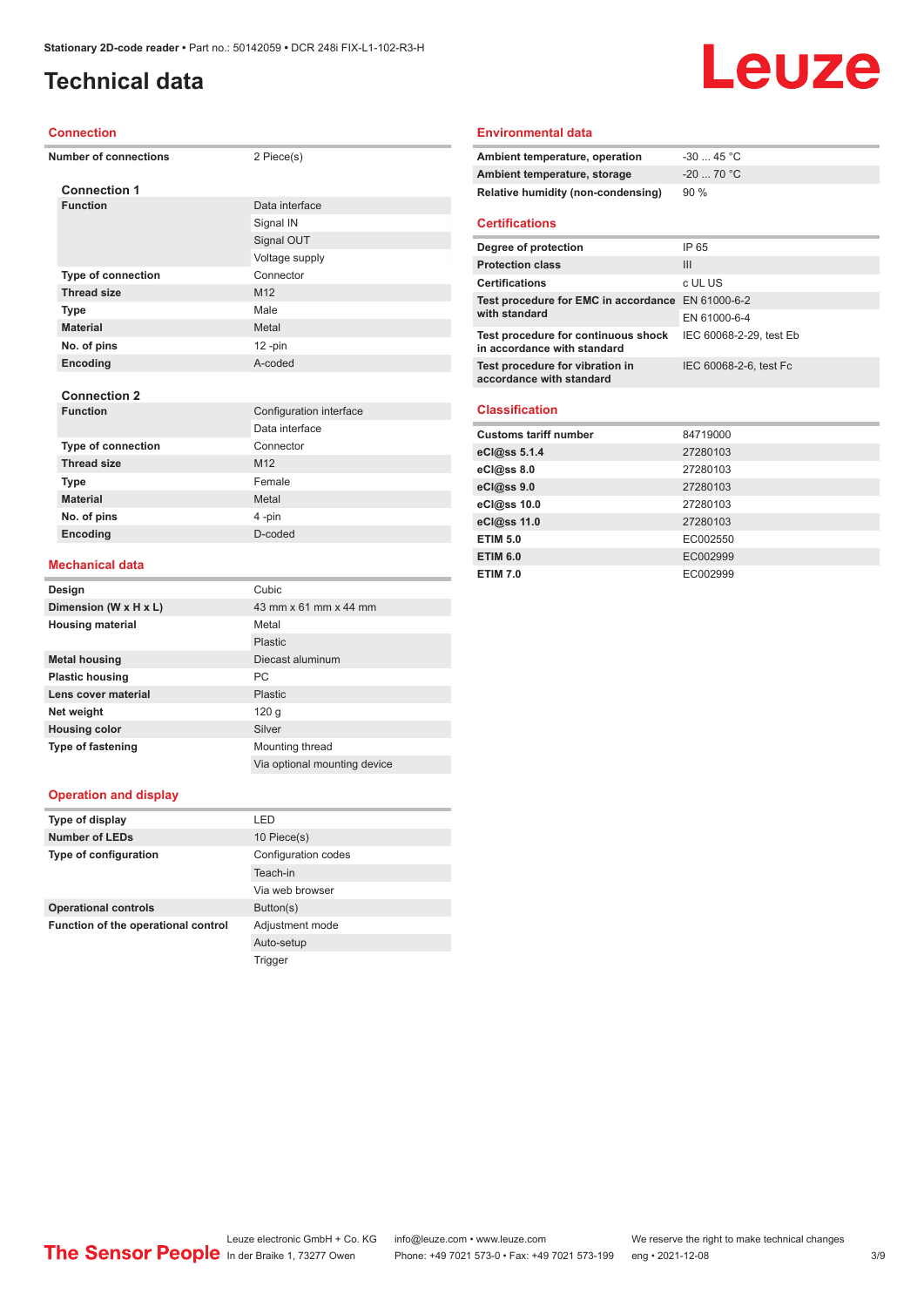### **Technical data**

#### **Connection**

|  | <b>Number of connections</b> | 2 Piece(s)              |
|--|------------------------------|-------------------------|
|  | <b>Connection 1</b>          |                         |
|  | <b>Function</b>              | Data interface          |
|  |                              | Signal IN               |
|  |                              | Signal OUT              |
|  |                              | Voltage supply          |
|  | <b>Type of connection</b>    | Connector               |
|  | <b>Thread size</b>           | M12                     |
|  | <b>Type</b>                  | Male                    |
|  | <b>Material</b>              | Metal                   |
|  | No. of pins                  | $12 - pin$              |
|  | Encoding                     | A-coded                 |
|  |                              |                         |
|  | <b>Connection 2</b>          |                         |
|  | <b>Function</b>              | Configuration interface |
|  |                              | Data interface          |
|  | <b>Type of connection</b>    | Connector               |
|  | <b>Thread size</b>           | M12                     |
|  | <b>Type</b>                  | Female                  |
|  | <b>Material</b>              | Metal                   |
|  | No. of pins                  | 4-pin                   |
|  | Encoding                     | D-coded                 |

#### **Environmental data**

| Ambient temperature, operation     | -30  45 °C |
|------------------------------------|------------|
| Ambient temperature, storage       | $-2070 °C$ |
| Relative humidity (non-condensing) | 90 %       |

Leuze

#### **Certifications**

| Degree of protection                                               | IP 65                   |
|--------------------------------------------------------------------|-------------------------|
| <b>Protection class</b>                                            | Ш                       |
| <b>Certifications</b>                                              | c UL US                 |
| Test procedure for EMC in accordance EN 61000-6-2<br>with standard |                         |
|                                                                    | EN 61000-6-4            |
| Test procedure for continuous shock<br>in accordance with standard | IEC 60068-2-29, test Eb |
| Test procedure for vibration in<br>accordance with standard        | IEC 60068-2-6, test Fc  |

#### **Classification**

| <b>Customs tariff number</b> | 84719000 |
|------------------------------|----------|
| eCl@ss 5.1.4                 | 27280103 |
| $eC/\omega$ ss 8.0           | 27280103 |
| eC <sub>1</sub> @ss 9.0      | 27280103 |
| eCl@ss 10.0                  | 27280103 |
| eCl@ss 11.0                  | 27280103 |
| <b>ETIM 5.0</b>              | EC002550 |
| <b>ETIM 6.0</b>              | EC002999 |
| <b>ETIM 7.0</b>              | EC002999 |

#### **Mechanical data**

| Design                   | Cubic                        |
|--------------------------|------------------------------|
| Dimension (W x H x L)    | 43 mm x 61 mm x 44 mm        |
| <b>Housing material</b>  | Metal                        |
|                          | Plastic                      |
| <b>Metal housing</b>     | Diecast aluminum             |
| <b>Plastic housing</b>   | <b>PC</b>                    |
| Lens cover material      | Plastic                      |
| Net weight               | 120 g                        |
| <b>Housing color</b>     | Silver                       |
| <b>Type of fastening</b> | Mounting thread              |
|                          | Via optional mounting device |

#### **Operation and display**

| I FD                |
|---------------------|
| 10 Piece(s)         |
| Configuration codes |
| Teach-in            |
| Via web browser     |
| Button(s)           |
| Adjustment mode     |
| Auto-setup          |
| Trigger             |
|                     |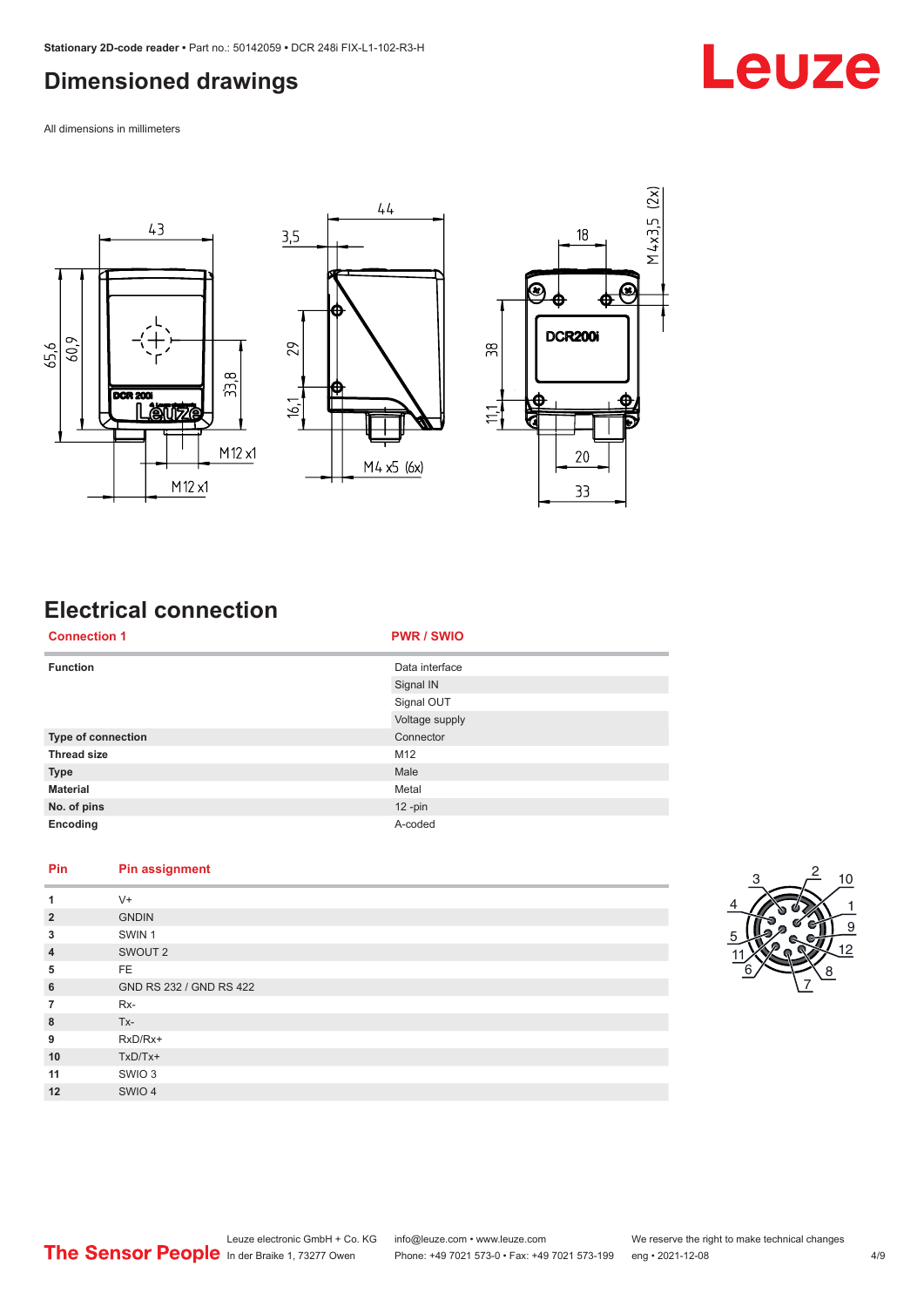#### <span id="page-3-0"></span>**Dimensioned drawings**

All dimensions in millimeters



# **Electrical connection**

| <b>Connection 1</b> | <b>PWR / SWIO</b> |
|---------------------|-------------------|
| <b>Function</b>     | Data interface    |
|                     | Signal IN         |
|                     | Signal OUT        |
|                     | Voltage supply    |
| Type of connection  | Connector         |
| <b>Thread size</b>  | M12               |
| <b>Type</b>         | Male              |
| <b>Material</b>     | Metal             |
| No. of pins         | $12 - pin$        |
| Encoding            | A-coded           |

#### **Pin Pin assignment**

| $V +$                   |
|-------------------------|
| <b>GNDIN</b>            |
| SWIN <sub>1</sub>       |
| SWOUT <sub>2</sub>      |
| FE.                     |
| GND RS 232 / GND RS 422 |
| $Rx-$                   |
| $Tx -$                  |
| RxD/Rx+                 |
| $TxD/Tx+$               |
| SWIO 3                  |
| SWIO 4                  |
|                         |



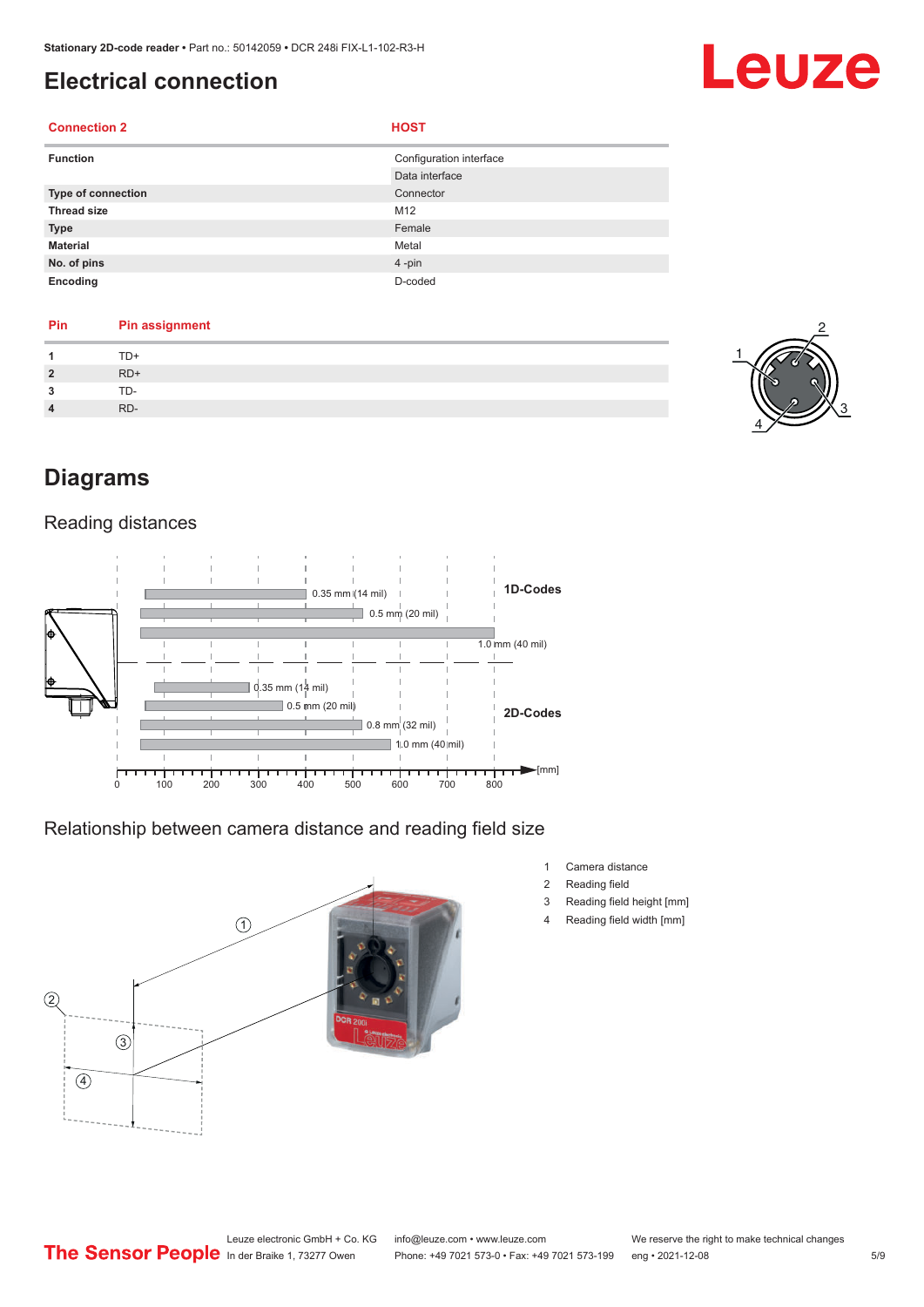### <span id="page-4-0"></span>**Electrical connection**

#### **Connection 2 HOST**

| <b>Function</b>           | Configuration interface |
|---------------------------|-------------------------|
|                           | Data interface          |
| <b>Type of connection</b> | Connector               |
| <b>Thread size</b>        | M12                     |
| <b>Type</b>               | Female                  |
| <b>Material</b>           | Metal                   |
| No. of pins               | $4 - pin$               |
| Encoding                  | D-coded                 |

#### **Pin Pin assignment 1** TD+

|                | .            |
|----------------|--------------|
| $\overline{2}$ | $RD+$        |
| 3              | $TD-$<br>. . |
| 4              | RD-          |
|                |              |



Leuze

### **Diagrams**

#### Reading distances



Relationship between camera distance and reading field size



- 1 Camera distance
- 2 Reading field
- 3 Reading field height [mm]
- 4 Reading field width [mm]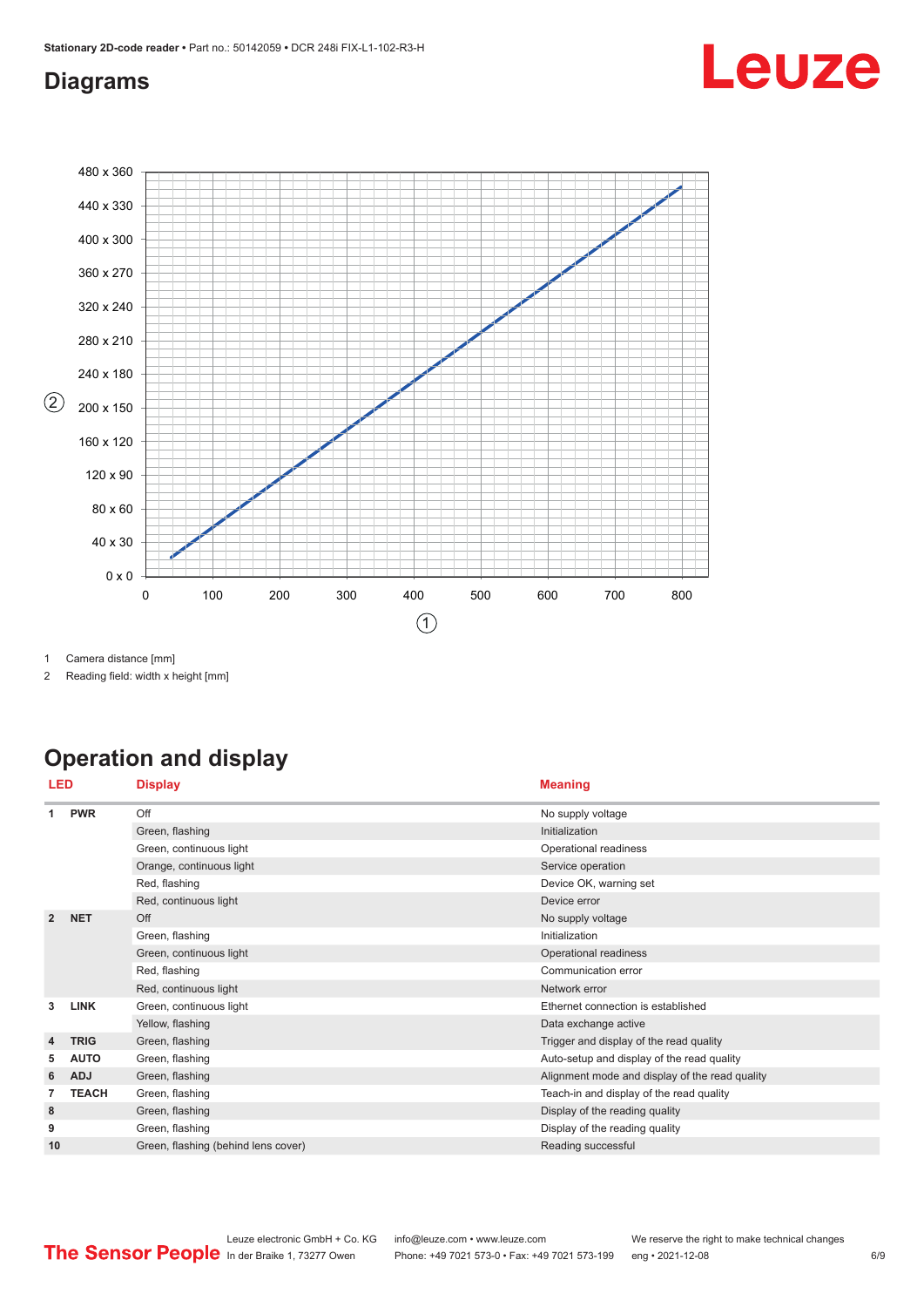# Leuze

#### <span id="page-5-0"></span>**Diagrams**



1 Camera distance [mm]

2 Reading field: width x height [mm]

# **Operation and display**

|                | LED          | <b>Display</b>                      | <b>Meaning</b>                                 |
|----------------|--------------|-------------------------------------|------------------------------------------------|
|                | <b>PWR</b>   | Off                                 | No supply voltage                              |
|                |              | Green, flashing                     | Initialization                                 |
|                |              | Green, continuous light             | Operational readiness                          |
|                |              | Orange, continuous light            | Service operation                              |
|                |              | Red, flashing                       | Device OK, warning set                         |
|                |              | Red, continuous light               | Device error                                   |
| $\overline{2}$ | <b>NET</b>   | Off                                 | No supply voltage                              |
|                |              | Green, flashing                     | Initialization                                 |
|                |              | Green, continuous light             | Operational readiness                          |
|                |              | Red, flashing                       | Communication error                            |
|                |              | Red, continuous light               | Network error                                  |
| 3              | <b>LINK</b>  | Green, continuous light             | Ethernet connection is established             |
|                |              | Yellow, flashing                    | Data exchange active                           |
| $\overline{4}$ | <b>TRIG</b>  | Green, flashing                     | Trigger and display of the read quality        |
| 5              | <b>AUTO</b>  | Green, flashing                     | Auto-setup and display of the read quality     |
| 6              | <b>ADJ</b>   | Green, flashing                     | Alignment mode and display of the read quality |
| 7              | <b>TEACH</b> | Green, flashing                     | Teach-in and display of the read quality       |
| 8              |              | Green, flashing                     | Display of the reading quality                 |
| 9              |              | Green, flashing                     | Display of the reading quality                 |
| 10             |              | Green, flashing (behind lens cover) | Reading successful                             |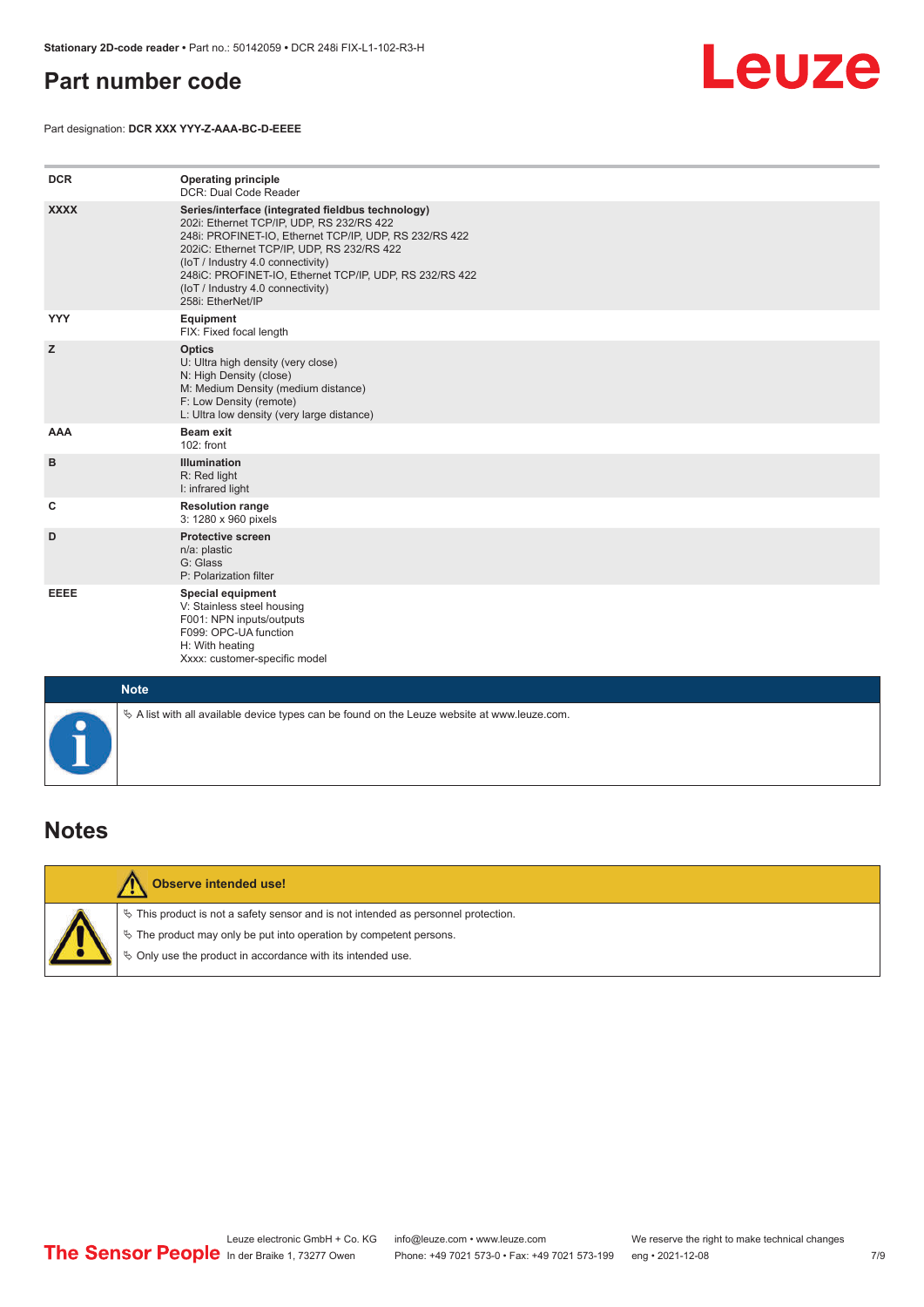#### <span id="page-6-0"></span>**Part number code**



Part designation: **DCR XXX YYY-Z-AAA-BC-D-EEEE**

| <b>DCR</b>  | <b>Operating principle</b><br>DCR: Dual Code Reader                                                                                                                                                                                                                                                                                                              |
|-------------|------------------------------------------------------------------------------------------------------------------------------------------------------------------------------------------------------------------------------------------------------------------------------------------------------------------------------------------------------------------|
| <b>XXXX</b> | Series/interface (integrated fieldbus technology)<br>202i: Ethernet TCP/IP, UDP, RS 232/RS 422<br>248i: PROFINET-IO, Ethernet TCP/IP, UDP, RS 232/RS 422<br>202iC: Ethernet TCP/IP, UDP, RS 232/RS 422<br>(IoT / Industry 4.0 connectivity)<br>248iC: PROFINET-IO, Ethernet TCP/IP, UDP, RS 232/RS 422<br>(IoT / Industry 4.0 connectivity)<br>258i: EtherNet/IP |
| <b>YYY</b>  | Equipment<br>FIX: Fixed focal length                                                                                                                                                                                                                                                                                                                             |
| z           | <b>Optics</b><br>U: Ultra high density (very close)<br>N: High Density (close)<br>M: Medium Density (medium distance)<br>F: Low Density (remote)<br>L: Ultra low density (very large distance)                                                                                                                                                                   |
| AAA         | <b>Beam exit</b><br>102: front                                                                                                                                                                                                                                                                                                                                   |
| B           | <b>Illumination</b><br>R: Red light<br>I: infrared light                                                                                                                                                                                                                                                                                                         |
| c           | <b>Resolution range</b><br>3: 1280 x 960 pixels                                                                                                                                                                                                                                                                                                                  |
| D           | <b>Protective screen</b><br>n/a: plastic<br>G: Glass<br>P: Polarization filter                                                                                                                                                                                                                                                                                   |
| EEEE        | <b>Special equipment</b><br>V: Stainless steel housing<br>F001: NPN inputs/outputs<br>F099: OPC-UA function<br>H: With heating<br>Xxxx: customer-specific model                                                                                                                                                                                                  |
| <b>Note</b> |                                                                                                                                                                                                                                                                                                                                                                  |
| $\bullet$   | $\&$ A list with all available device types can be found on the Leuze website at www.leuze.com.                                                                                                                                                                                                                                                                  |

#### **Notes**



#### **Observe intended use!**

 $\%$  This product is not a safety sensor and is not intended as personnel protection.

 $\%$  The product may only be put into operation by competent persons.

 $\%$  Only use the product in accordance with its intended use.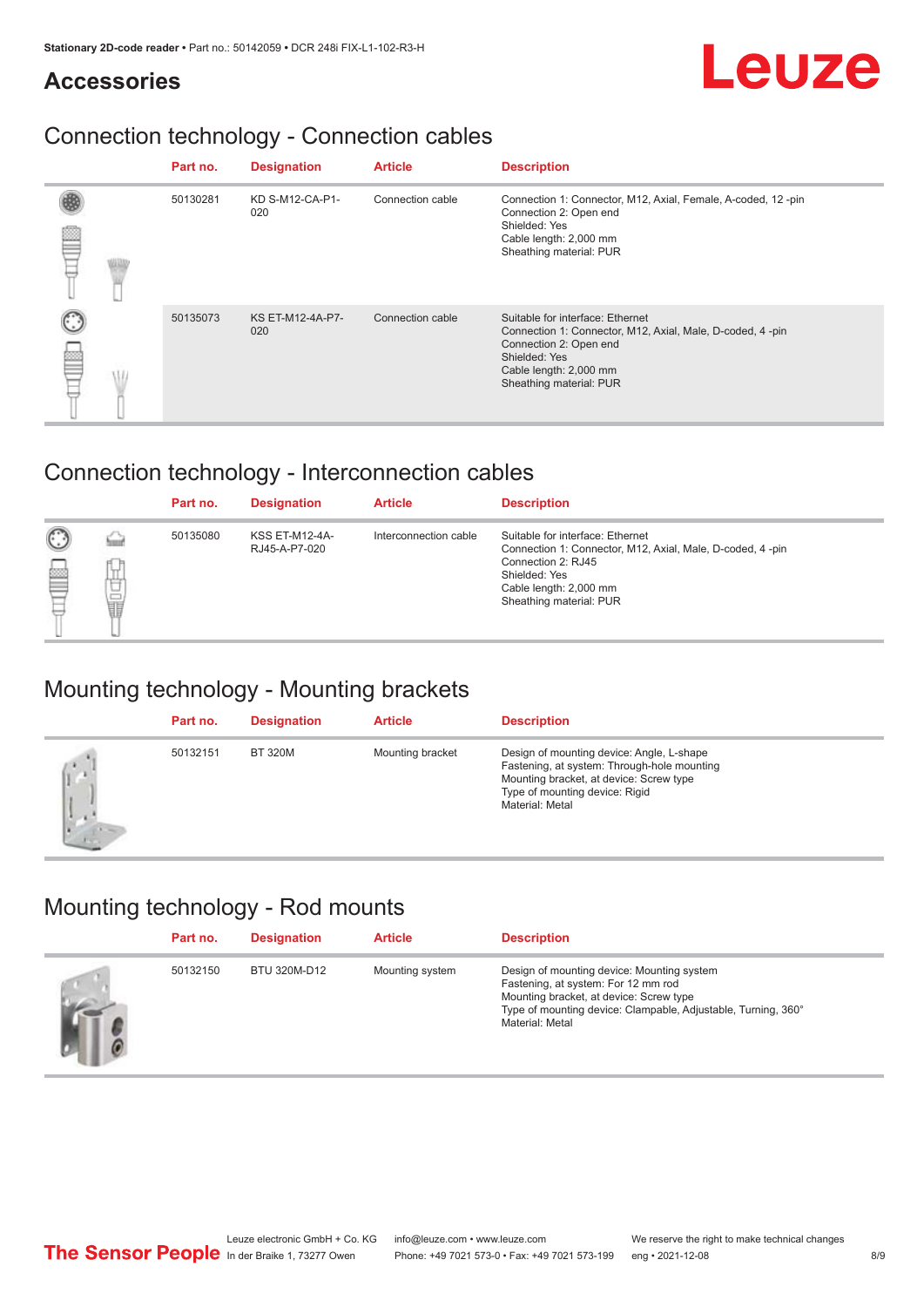# Leuze

#### **Accessories**

# Connection technology - Connection cables

|  | Part no. | <b>Designation</b>      | <b>Article</b>   | <b>Description</b>                                                                                                                                                                            |
|--|----------|-------------------------|------------------|-----------------------------------------------------------------------------------------------------------------------------------------------------------------------------------------------|
|  | 50130281 | KD S-M12-CA-P1-<br>020  | Connection cable | Connection 1: Connector, M12, Axial, Female, A-coded, 12-pin<br>Connection 2: Open end<br>Shielded: Yes<br>Cable length: 2,000 mm<br>Sheathing material: PUR                                  |
|  | 50135073 | KS ET-M12-4A-P7-<br>020 | Connection cable | Suitable for interface: Ethernet<br>Connection 1: Connector, M12, Axial, Male, D-coded, 4-pin<br>Connection 2: Open end<br>Shielded: Yes<br>Cable length: 2,000 mm<br>Sheathing material: PUR |

# Connection technology - Interconnection cables

|        |        | Part no. | <b>Designation</b>                     | <b>Article</b>        | <b>Description</b>                                                                                                                                                                        |
|--------|--------|----------|----------------------------------------|-----------------------|-------------------------------------------------------------------------------------------------------------------------------------------------------------------------------------------|
| C<br>E | υ<br>t | 50135080 | <b>KSS ET-M12-4A-</b><br>RJ45-A-P7-020 | Interconnection cable | Suitable for interface: Ethernet<br>Connection 1: Connector, M12, Axial, Male, D-coded, 4-pin<br>Connection 2: RJ45<br>Shielded: Yes<br>Cable length: 2,000 mm<br>Sheathing material: PUR |

#### Mounting technology - Mounting brackets

|     | Part no. | <b>Designation</b> | <b>Article</b>   | <b>Description</b>                                                                                                                                                                       |
|-----|----------|--------------------|------------------|------------------------------------------------------------------------------------------------------------------------------------------------------------------------------------------|
| (j. | 50132151 | <b>BT 320M</b>     | Mounting bracket | Design of mounting device: Angle, L-shape<br>Fastening, at system: Through-hole mounting<br>Mounting bracket, at device: Screw type<br>Type of mounting device: Rigid<br>Material: Metal |

# Mounting technology - Rod mounts

|               | Part no. | <b>Designation</b> | <b>Article</b>  | <b>Description</b>                                                                                                                                                                                               |
|---------------|----------|--------------------|-----------------|------------------------------------------------------------------------------------------------------------------------------------------------------------------------------------------------------------------|
| $\frac{1}{2}$ | 50132150 | BTU 320M-D12       | Mounting system | Design of mounting device: Mounting system<br>Fastening, at system: For 12 mm rod<br>Mounting bracket, at device: Screw type<br>Type of mounting device: Clampable, Adjustable, Turning, 360°<br>Material: Metal |